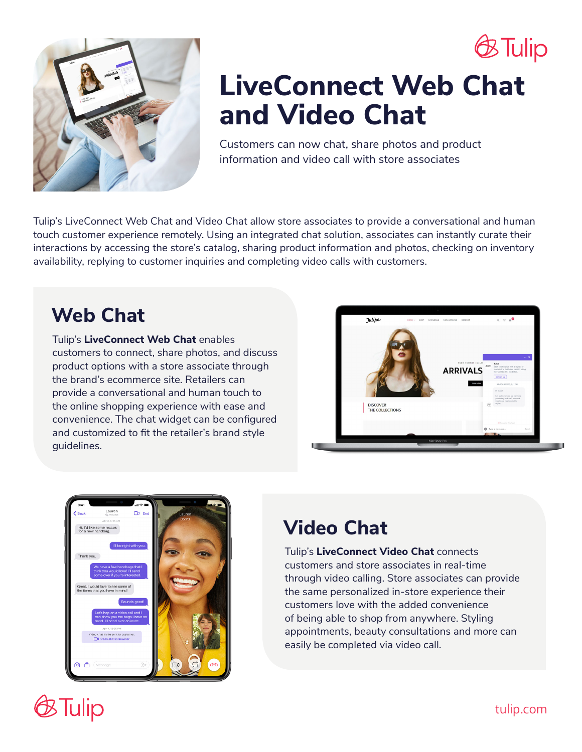



# **LiveConnect Web Chat and Video Chat**

Customers can now chat, share photos and product information and video call with store associates

Tulip's LiveConnect Web Chat and Video Chat allow store associates to provide a conversational and human touch customer experience remotely. Using an integrated chat solution, associates can instantly curate their interactions by accessing the store's catalog, sharing product information and photos, checking on inventory availability, replying to customer inquiries and completing video calls with customers.

### **Web Chat**

Tulip's **LiveConnect Web Chat** enables customers to connect, share photos, and discuss product options with a store associate through the brand's ecommerce site. Retailers can provide a conversational and human touch to the online shopping experience with ease and convenience. The chat widget can be configured and customized to fit the retailer's brand style guidelines.





## **Video Chat**

Tulip's **LiveConnect Video Chat** connects customers and store associates in real-time through video calling. Store associates can provide the same personalized in-store experience their customers love with the added convenience of being able to shop from anywhere. Styling appointments, beauty consultations and more can easily be completed via video call.

# **E**Tulip